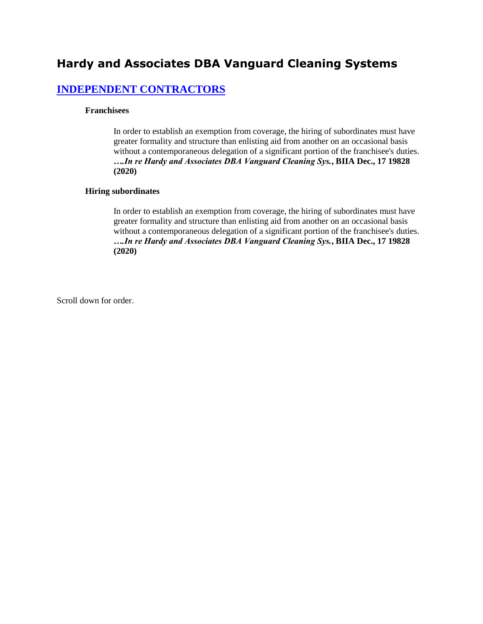# **Hardy and Associates DBA Vanguard Cleaning Systems**

## **[INDEPENDENT CONTRACTORS](http://www.biia.wa.gov/SDSubjectIndex.html#INDEPENDENT_CONTRACTORS)**

#### **Franchisees**

In order to establish an exemption from coverage, the hiring of subordinates must have greater formality and structure than enlisting aid from another on an occasional basis without a contemporaneous delegation of a significant portion of the franchisee's duties. *….In re Hardy and Associates DBA Vanguard Cleaning Sys.***, BIIA Dec., 17 19828 (2020)**

#### **Hiring subordinates**

In order to establish an exemption from coverage, the hiring of subordinates must have greater formality and structure than enlisting aid from another on an occasional basis without a contemporaneous delegation of a significant portion of the franchisee's duties. *….In re Hardy and Associates DBA Vanguard Cleaning Sys.***, BIIA Dec., 17 19828 (2020)**

Scroll down for order.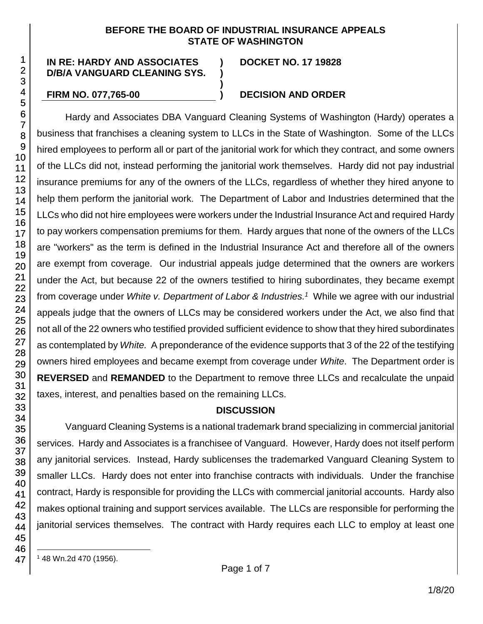#### **BEFORE THE BOARD OF INDUSTRIAL INSURANCE APPEALS STATE OF WASHINGTON**

**) )**

**)**

#### **IN RE: HARDY AND ASSOCIATES D/B/A VANGUARD CLEANING SYS.**

# **DOCKET NO. 17 19828**

#### **FIRM NO. 077,765-00 ) DECISION AND ORDER**

Hardy and Associates DBA Vanguard Cleaning Systems of Washington (Hardy) operates a business that franchises a cleaning system to LLCs in the State of Washington. Some of the LLCs hired employees to perform all or part of the janitorial work for which they contract, and some owners of the LLCs did not, instead performing the janitorial work themselves. Hardy did not pay industrial insurance premiums for any of the owners of the LLCs, regardless of whether they hired anyone to help them perform the janitorial work. The Department of Labor and Industries determined that the LLCs who did not hire employees were workers under the Industrial Insurance Act and required Hardy to pay workers compensation premiums for them. Hardy argues that none of the owners of the LLCs are "workers" as the term is defined in the Industrial Insurance Act and therefore all of the owners are exempt from coverage. Our industrial appeals judge determined that the owners are workers under the Act, but because 22 of the owners testified to hiring subordinates, they became exempt from coverage under *White v. Department of Labor & Industries. 1* While we agree with our industrial appeals judge that the owners of LLCs may be considered workers under the Act, we also find that not all of the 22 owners who testified provided sufficient evidence to show that they hired subordinates as contemplated by *White.* A preponderance of the evidence supports that 3 of the 22 of the testifying owners hired employees and became exempt from coverage under *White*. The Department order is **REVERSED** and **REMANDED** to the Department to remove three LLCs and recalculate the unpaid taxes, interest, and penalties based on the remaining LLCs.

#### **DISCUSSION**

Vanguard Cleaning Systems is a national trademark brand specializing in commercial janitorial services. Hardy and Associates is a franchisee of Vanguard. However, Hardy does not itself perform any janitorial services. Instead, Hardy sublicenses the trademarked Vanguard Cleaning System to smaller LLCs. Hardy does not enter into franchise contracts with individuals. Under the franchise contract, Hardy is responsible for providing the LLCs with commercial janitorial accounts. Hardy also makes optional training and support services available. The LLCs are responsible for performing the janitorial services themselves. The contract with Hardy requires each LLC to employ at least one

1 2

l <sup>1</sup> 48 Wn.2d 470 (1956).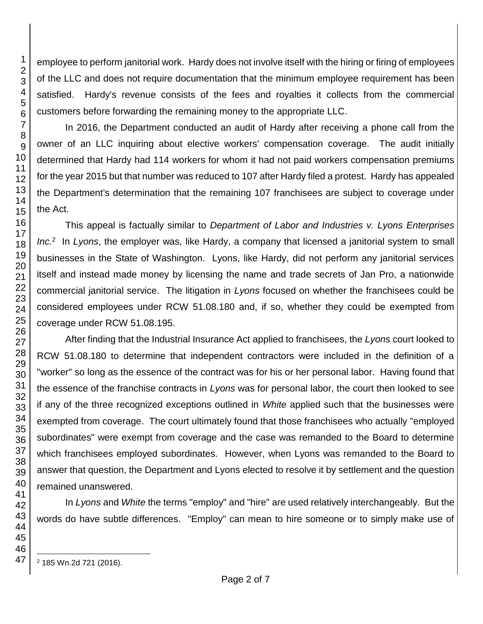employee to perform janitorial work. Hardy does not involve itself with the hiring or firing of employees of the LLC and does not require documentation that the minimum employee requirement has been satisfied. Hardy's revenue consists of the fees and royalties it collects from the commercial customers before forwarding the remaining money to the appropriate LLC.

In 2016, the Department conducted an audit of Hardy after receiving a phone call from the owner of an LLC inquiring about elective workers' compensation coverage. The audit initially determined that Hardy had 114 workers for whom it had not paid workers compensation premiums for the year 2015 but that number was reduced to 107 after Hardy filed a protest. Hardy has appealed the Department's determination that the remaining 107 franchisees are subject to coverage under the Act.

This appeal is factually similar to *Department of Labor and Industries v. Lyons Enterprises Inc.*<sup>2</sup> In *Lyons*, the employer was, like Hardy, a company that licensed a janitorial system to small businesses in the State of Washington. Lyons, like Hardy, did not perform any janitorial services itself and instead made money by licensing the name and trade secrets of Jan Pro, a nationwide commercial janitorial service. The litigation in *Lyons* focused on whether the franchisees could be considered employees under RCW 51.08.180 and, if so, whether they could be exempted from coverage under RCW 51.08.195.

After finding that the Industrial Insurance Act applied to franchisees, the *Lyons* court looked to RCW 51.08.180 to determine that independent contractors were included in the definition of a "worker" so long as the essence of the contract was for his or her personal labor. Having found that the essence of the franchise contracts in *Lyons* was for personal labor, the court then looked to see if any of the three recognized exceptions outlined in *White* applied such that the businesses were exempted from coverage. The court ultimately found that those franchisees who actually "employed subordinates" were exempt from coverage and the case was remanded to the Board to determine which franchisees employed subordinates. However, when Lyons was remanded to the Board to answer that question, the Department and Lyons elected to resolve it by settlement and the question remained unanswered.

In *Lyons* and *White* the terms "employ" and "hire" are used relatively interchangeably. But the words do have subtle differences. "Employ" can mean to hire someone or to simply make use of

185 Wn.2d 721 (2016).

l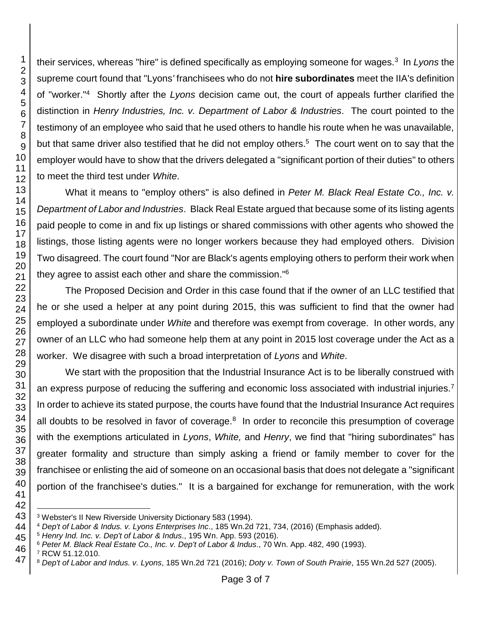their services, whereas "hire" is defined specifically as employing someone for wages.<sup>3</sup> In *Lyons* the supreme court found that "Lyons*'* franchisees who do not **hire subordinates** meet the IIA's definition of "worker." <sup>4</sup> Shortly after the *Lyons* decision came out, the court of appeals further clarified the distinction in *Henry Industries, Inc. v. Department of Labor & Industries*. The court pointed to the testimony of an employee who said that he used others to handle his route when he was unavailable, but that same driver also testified that he did not employ others.<sup>5</sup> The court went on to say that the employer would have to show that the drivers delegated a "significant portion of their duties" to others to meet the third test under *White*.

What it means to "employ others" is also defined in *Peter M. Black Real Estate Co., Inc. v. Department of Labor and Industries*. Black Real Estate argued that because some of its listing agents paid people to come in and fix up listings or shared commissions with other agents who showed the listings, those listing agents were no longer workers because they had employed others. Division Two disagreed. The court found "Nor are Black's agents employing others to perform their work when they agree to assist each other and share the commission." 6

The Proposed Decision and Order in this case found that if the owner of an LLC testified that he or she used a helper at any point during 2015, this was sufficient to find that the owner had employed a subordinate under *White* and therefore was exempt from coverage. In other words, any owner of an LLC who had someone help them at any point in 2015 lost coverage under the Act as a worker. We disagree with such a broad interpretation of *Lyons* and *White*.

We start with the proposition that the Industrial Insurance Act is to be liberally construed with an express purpose of reducing the suffering and economic loss associated with industrial injuries.<sup>7</sup> In order to achieve its stated purpose, the courts have found that the Industrial Insurance Act requires all doubts to be resolved in favor of coverage.<sup>8</sup> In order to reconcile this presumption of coverage with the exemptions articulated in *Lyons*, *White,* and *Henry*, we find that "hiring subordinates" has greater formality and structure than simply asking a friend or family member to cover for the franchisee or enlisting the aid of someone on an occasional basis that does not delegate a "significant portion of the franchisee's duties." It is a bargained for exchange for remuneration, with the work

RCW 51.12.010.

l <sup>3</sup> Webster's II New Riverside University Dictionary 583 (1994).

*Dep't of Labor & Indus. v. Lyons Enterprises Inc*., 185 Wn.2d 721, 734, (2016) (Emphasis added).

*Henry Ind. Inc. v. Dep't of Labor & Indus*., 195 Wn. App. 593 (2016).

*Peter M. Black Real Estate Co., Inc. v. Dep't of Labor & Indus*., 70 Wn. App. 482, 490 (1993).

*Dep't of Labor and Indus. v. Lyons*, 185 Wn.2d 721 (2016); *Doty v. Town of South Prairie*, 155 Wn.2d 527 (2005).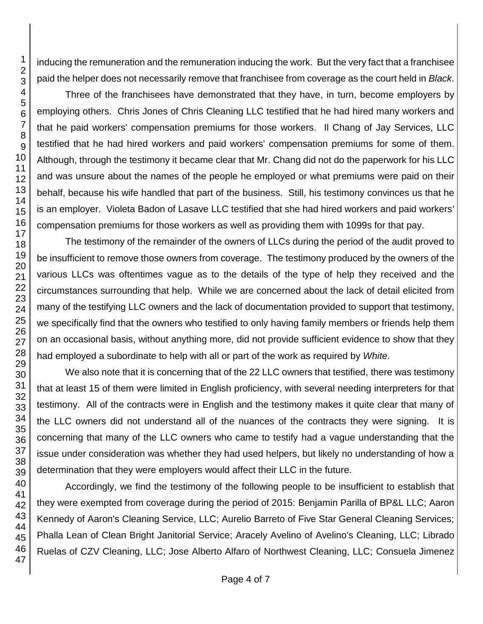inducing the remuneration and the remuneration inducing the work. But the very fact that a franchisee paid the helper does not necessarily remove that franchisee from coverage as the court held in *Black*.

Three of the franchisees have demonstrated that they have, in turn, become employers by employing others. Chris Jones of Chris Cleaning LLC testified that he had hired many workers and that he paid workers' compensation premiums for those workers. Il Chang of Jay Services, LLC testified that he had hired workers and paid workers' compensation premiums for some of them. Although, through the testimony it became clear that Mr. Chang did not do the paperwork for his LLC and was unsure about the names of the people he employed or what premiums were paid on their behalf, because his wife handled that part of the business. Still, his testimony convinces us that he is an employer. Violeta Badon of Lasave LLC testified that she had hired workers and paid workers' compensation premiums for those workers as well as providing them with 1099s for that pay.

The testimony of the remainder of the owners of LLCs during the period of the audit proved to be insufficient to remove those owners from coverage. The testimony produced by the owners of the various LLCs was oftentimes vague as to the details of the type of help they received and the circumstances surrounding that help. While we are concerned about the lack of detail elicited from many of the testifying LLC owners and the lack of documentation provided to support that testimony, we specifically find that the owners who testified to only having family members or friends help them on an occasional basis, without anything more, did not provide sufficient evidence to show that they had employed a subordinate to help with all or part of the work as required by *White*.

We also note that it is concerning that of the 22 LLC owners that testified, there was testimony that at least 15 of them were limited in English proficiency, with several needing interpreters for that testimony. All of the contracts were in English and the testimony makes it quite clear that many of the LLC owners did not understand all of the nuances of the contracts they were signing. It is concerning that many of the LLC owners who came to testify had a vague understanding that the issue under consideration was whether they had used helpers, but likely no understanding of how a determination that they were employers would affect their LLC in the future.

Accordingly, we find the testimony of the following people to be insufficient to establish that they were exempted from coverage during the period of 2015: Benjamin Parilla of BP&L LLC; Aaron Kennedy of Aaron's Cleaning Service, LLC; Aurelio Barreto of Five Star General Cleaning Services; Phalla Lean of Clean Bright Janitorial Service; Aracely Avelino of Avelino's Cleaning, LLC; Librado Ruelas of CZV Cleaning, LLC; Jose Alberto Alfaro of Northwest Cleaning, LLC; Consuela Jimenez

1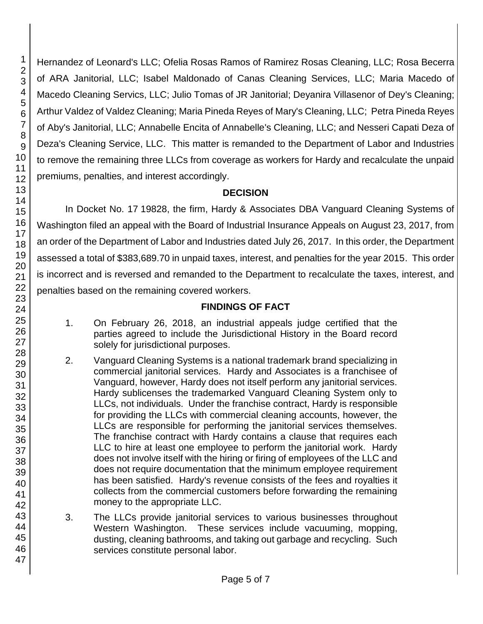Hernandez of Leonard's LLC; Ofelia Rosas Ramos of Ramirez Rosas Cleaning, LLC; Rosa Becerra of ARA Janitorial, LLC; Isabel Maldonado of Canas Cleaning Services, LLC; Maria Macedo of Macedo Cleaning Servics, LLC; Julio Tomas of JR Janitorial; Deyanira Villasenor of Dey's Cleaning; Arthur Valdez of Valdez Cleaning; Maria Pineda Reyes of Mary's Cleaning, LLC; Petra Pineda Reyes of Aby's Janitorial, LLC; Annabelle Encita of Annabelle's Cleaning, LLC; and Nesseri Capati Deza of Deza's Cleaning Service, LLC. This matter is remanded to the Department of Labor and Industries to remove the remaining three LLCs from coverage as workers for Hardy and recalculate the unpaid premiums, penalties, and interest accordingly.

### **DECISION**

In Docket No. 17 19828, the firm, Hardy & Associates DBA Vanguard Cleaning Systems of Washington filed an appeal with the Board of Industrial Insurance Appeals on August 23, 2017, from an order of the Department of Labor and Industries dated July 26, 2017. In this order, the Department assessed a total of \$383,689.70 in unpaid taxes, interest, and penalties for the year 2015. This order is incorrect and is reversed and remanded to the Department to recalculate the taxes, interest, and penalties based on the remaining covered workers.

## **FINDINGS OF FACT**

- 1. On February 26, 2018, an industrial appeals judge certified that the parties agreed to include the Jurisdictional History in the Board record solely for jurisdictional purposes.
- 2. Vanguard Cleaning Systems is a national trademark brand specializing in commercial janitorial services. Hardy and Associates is a franchisee of Vanguard, however, Hardy does not itself perform any janitorial services. Hardy sublicenses the trademarked Vanguard Cleaning System only to LLCs, not individuals. Under the franchise contract, Hardy is responsible for providing the LLCs with commercial cleaning accounts, however, the LLCs are responsible for performing the janitorial services themselves. The franchise contract with Hardy contains a clause that requires each LLC to hire at least one employee to perform the janitorial work. Hardy does not involve itself with the hiring or firing of employees of the LLC and does not require documentation that the minimum employee requirement has been satisfied. Hardy's revenue consists of the fees and royalties it collects from the commercial customers before forwarding the remaining money to the appropriate LLC.
- 3. The LLCs provide janitorial services to various businesses throughout Western Washington. These services include vacuuming, mopping, dusting, cleaning bathrooms, and taking out garbage and recycling. Such services constitute personal labor.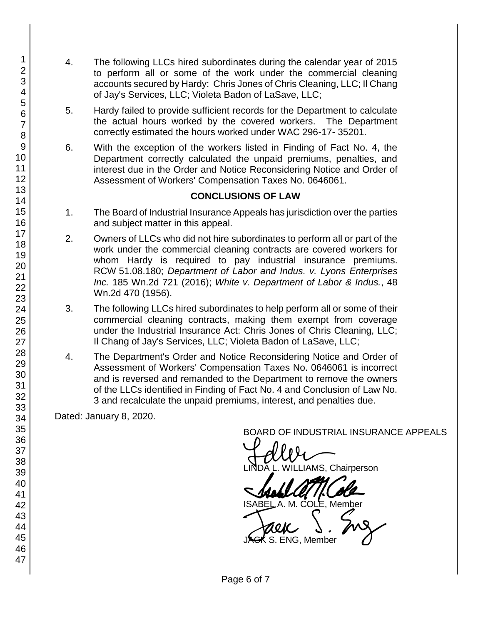- 4. The following LLCs hired subordinates during the calendar year of 2015 to perform all or some of the work under the commercial cleaning accounts secured by Hardy: Chris Jones of Chris Cleaning, LLC; Il Chang of Jay's Services, LLC; Violeta Badon of LaSave, LLC;
- 5. Hardy failed to provide sufficient records for the Department to calculate the actual hours worked by the covered workers. The Department correctly estimated the hours worked under WAC 296-17- 35201.
- 6. With the exception of the workers listed in Finding of Fact No. 4, the Department correctly calculated the unpaid premiums, penalties, and interest due in the Order and Notice Reconsidering Notice and Order of Assessment of Workers' Compensation Taxes No. 0646061.

#### **CONCLUSIONS OF LAW**

- 1. The Board of Industrial Insurance Appeals has jurisdiction over the parties and subject matter in this appeal.
- 2. Owners of LLCs who did not hire subordinates to perform all or part of the work under the commercial cleaning contracts are covered workers for whom Hardy is required to pay industrial insurance premiums. RCW 51.08.180; *Department of Labor and Indus. v. Lyons Enterprises Inc.* 185 Wn.2d 721 (2016); *White v. Department of Labor & Indus.*, 48 Wn.2d 470 (1956).
- 3. The following LLCs hired subordinates to help perform all or some of their commercial cleaning contracts, making them exempt from coverage under the Industrial Insurance Act: Chris Jones of Chris Cleaning, LLC; Il Chang of Jay's Services, LLC; Violeta Badon of LaSave, LLC;
- 4. The Department's Order and Notice Reconsidering Notice and Order of Assessment of Workers' Compensation Taxes No. 0646061 is incorrect and is reversed and remanded to the Department to remove the owners of the LLCs identified in Finding of Fact No. 4 and Conclusion of Law No. 3 and recalculate the unpaid premiums, interest, and penalties due.

Dated: January 8, 2020.

BOARD OF INDUSTRIAL INSURANCE APPEALS<br>
LINDA L. WILLIAMS, Chairperson

SADAL ATTICOLE

S. ENG. Member